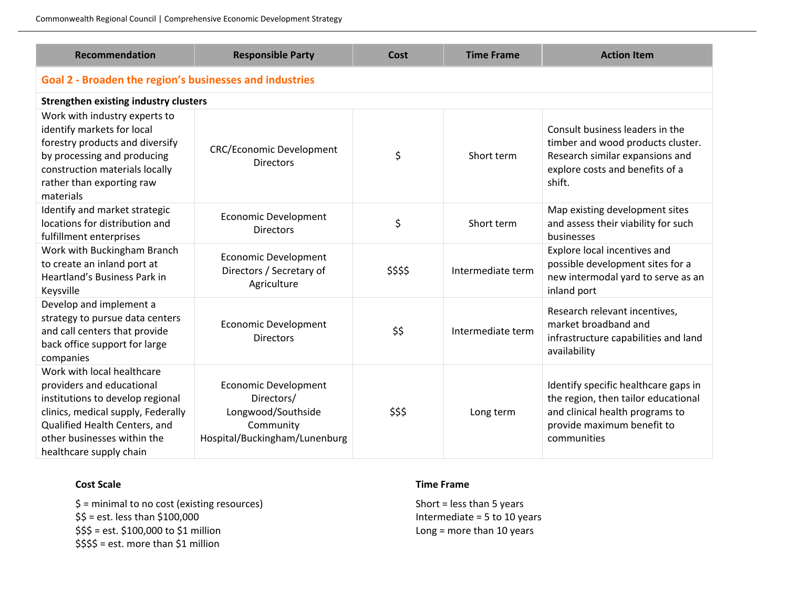**Recommendation Responsible Party Cost Time Frame Action Item Goal 2 - Broaden the region's businesses and industries Strengthen existing industry clusters** Work with industry experts to identify markets for local forestry products and diversify by processing and producing construction materials locally rather than exporting raw materials CRC/Economic Development onic Development  $\uparrow$   $\uparrow$   $\uparrow$  Short term Consult business leaders in the timber and wood products cluster. Research similar expansions and explore costs and benefits of a shift. Identify and market strategic locations for distribution and fulfillment enterprises Economic Development Directors \$ Short term Map existing development sites and assess their viability for such businesses Work with Buckingham Branch to create an inland port at Heartland's Business Park in Keysville Economic Development Directors / Secretary of **Agriculture** \$\$\$\$ Intermediate term Explore local incentives and possible development sites for a new intermodal yard to serve as an inland port Develop and implement a strategy to pursue data centers and call centers that provide back office support for large companies Economic Development nic Development<br>Directors \$\$ | Intermediate term Research relevant incentives, market broadband and infrastructure capabilities and land availability Work with local healthcare providers and educational institutions to develop regional clinics, medical supply, Federally Qualified Health Centers, and Economic Development Directors/ Longwood/Southside Community \$\$\$ Long term Identify specific healthcare gaps in the region, then tailor educational and clinical health programs to provide maximum benefit to

## **Cost Scale**

other businesses within the healthcare supply chain

> \$ = minimal to no cost (existing resources) \$\$ = est. less than \$100,000 \$\$\$ = est. \$100,000 to \$1 million \$\$\$\$ = est. more than \$1 million

Hospital/Buckingham/Lunenburg

Commonwealth Regional Council | Comprehensive Economic Development Strategy

## **Time Frame**

Short = less than 5 years Intermediate = 5 to 10 years Long = more than 10 years

communities